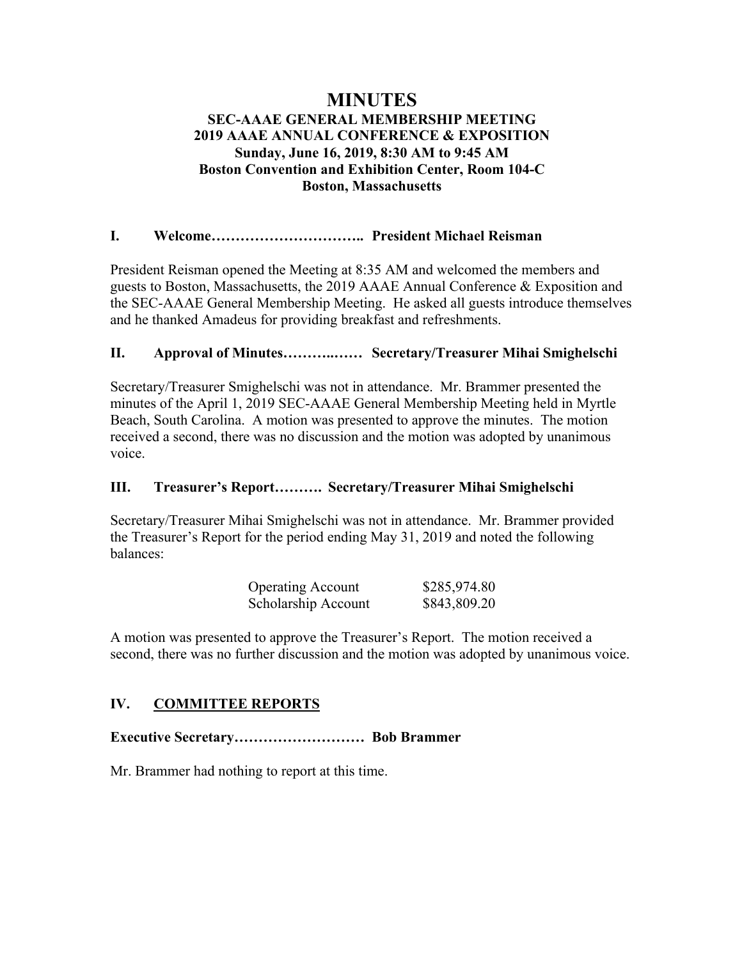# **MINUTES SEC-AAAE GENERAL MEMBERSHIP MEETING 2019 AAAE ANNUAL CONFERENCE & EXPOSITION Sunday, June 16, 2019, 8:30 AM to 9:45 AM Boston Convention and Exhibition Center, Room 104-C Boston, Massachusetts**

### **I. Welcome………………………….. President Michael Reisman**

President Reisman opened the Meeting at 8:35 AM and welcomed the members and guests to Boston, Massachusetts, the 2019 AAAE Annual Conference & Exposition and the SEC-AAAE General Membership Meeting. He asked all guests introduce themselves and he thanked Amadeus for providing breakfast and refreshments.

### **II. Approval of Minutes………..…… Secretary/Treasurer Mihai Smighelschi**

Secretary/Treasurer Smighelschi was not in attendance. Mr. Brammer presented the minutes of the April 1, 2019 SEC-AAAE General Membership Meeting held in Myrtle Beach, South Carolina. A motion was presented to approve the minutes. The motion received a second, there was no discussion and the motion was adopted by unanimous voice.

### **III. Treasurer's Report………. Secretary/Treasurer Mihai Smighelschi**

Secretary/Treasurer Mihai Smighelschi was not in attendance. Mr. Brammer provided the Treasurer's Report for the period ending May 31, 2019 and noted the following balances:

| <b>Operating Account</b> | \$285,974.80 |
|--------------------------|--------------|
| Scholarship Account      | \$843,809.20 |

A motion was presented to approve the Treasurer's Report. The motion received a second, there was no further discussion and the motion was adopted by unanimous voice.

# **IV. COMMITTEE REPORTS**

**Executive Secretary……………………… Bob Brammer**

Mr. Brammer had nothing to report at this time.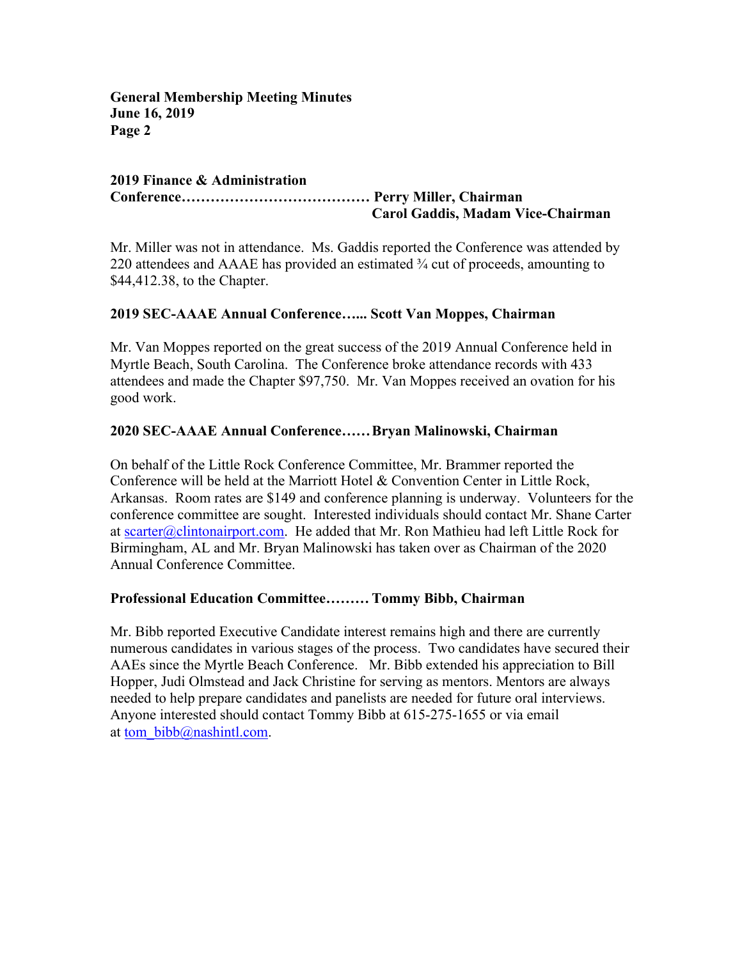#### **2019 Finance & Administration Conference………………………………… Perry Miller, Chairman Carol Gaddis, Madam Vice-Chairman**

Mr. Miller was not in attendance. Ms. Gaddis reported the Conference was attended by 220 attendees and AAAE has provided an estimated ¾ cut of proceeds, amounting to \$44,412.38, to the Chapter.

### **2019 SEC-AAAE Annual Conference…... Scott Van Moppes, Chairman**

Mr. Van Moppes reported on the great success of the 2019 Annual Conference held in Myrtle Beach, South Carolina. The Conference broke attendance records with 433 attendees and made the Chapter \$97,750. Mr. Van Moppes received an ovation for his good work.

#### **2020 SEC-AAAE Annual Conference……Bryan Malinowski, Chairman**

On behalf of the Little Rock Conference Committee, Mr. Brammer reported the Conference will be held at the Marriott Hotel & Convention Center in Little Rock, Arkansas. Room rates are \$149 and conference planning is underway. Volunteers for the conference committee are sought. Interested individuals should contact Mr. Shane Carter at scarter@clintonairport.com. He added that Mr. Ron Mathieu had left Little Rock for Birmingham, AL and Mr. Bryan Malinowski has taken over as Chairman of the 2020 Annual Conference Committee.

#### **Professional Education Committee……… Tommy Bibb, Chairman**

Mr. Bibb reported Executive Candidate interest remains high and there are currently numerous candidates in various stages of the process. Two candidates have secured their AAEs since the Myrtle Beach Conference. Mr. Bibb extended his appreciation to Bill Hopper, Judi Olmstead and Jack Christine for serving as mentors. Mentors are always needed to help prepare candidates and panelists are needed for future oral interviews. Anyone interested should contact Tommy Bibb at 615-275-1655 or via email at tom  $bib@nashintl.com.$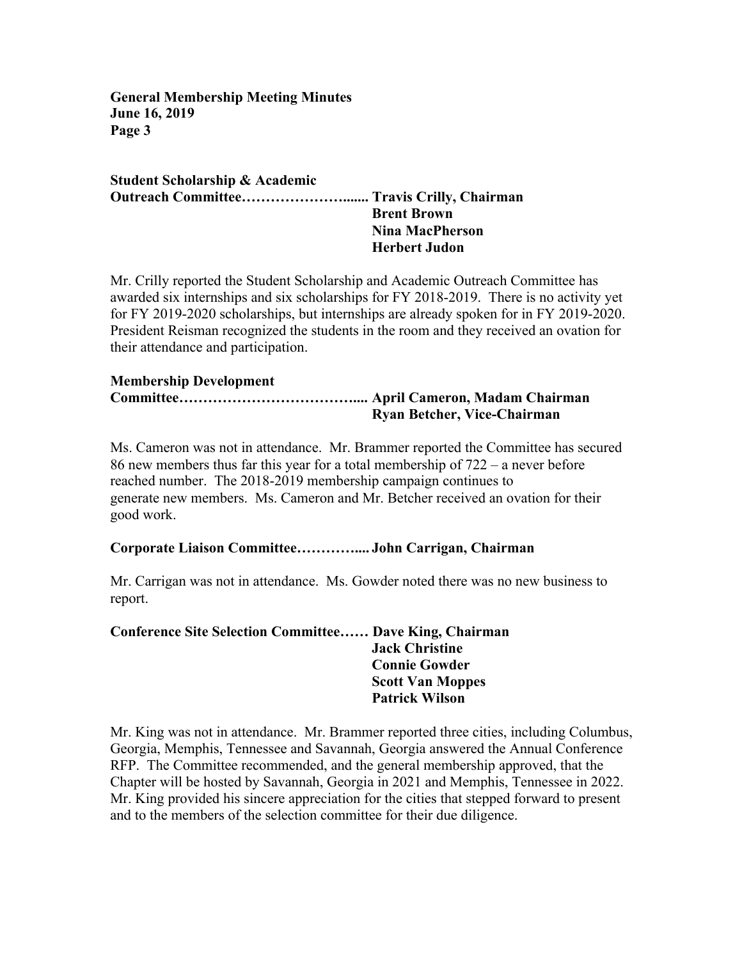**Student Scholarship & Academic Outreach Committee…………………....... Travis Crilly, Chairman Brent Brown Nina MacPherson Herbert Judon**

Mr. Crilly reported the Student Scholarship and Academic Outreach Committee has awarded six internships and six scholarships for FY 2018-2019. There is no activity yet for FY 2019-2020 scholarships, but internships are already spoken for in FY 2019-2020. President Reisman recognized the students in the room and they received an ovation for their attendance and participation.

#### **Membership Development Committee……………………………….... April Cameron, Madam Chairman Ryan Betcher, Vice-Chairman**

Ms. Cameron was not in attendance. Mr. Brammer reported the Committee has secured 86 new members thus far this year for a total membership of 722 – a never before reached number. The 2018-2019 membership campaign continues to generate new members. Ms. Cameron and Mr. Betcher received an ovation for their good work.

## **Corporate Liaison Committee………….... John Carrigan, Chairman**

Mr. Carrigan was not in attendance. Ms. Gowder noted there was no new business to report.

**Conference Site Selection Committee…… Dave King, Chairman Jack Christine Connie Gowder Scott Van Moppes Patrick Wilson**

Mr. King was not in attendance. Mr. Brammer reported three cities, including Columbus, Georgia, Memphis, Tennessee and Savannah, Georgia answered the Annual Conference RFP. The Committee recommended, and the general membership approved, that the Chapter will be hosted by Savannah, Georgia in 2021 and Memphis, Tennessee in 2022. Mr. King provided his sincere appreciation for the cities that stepped forward to present and to the members of the selection committee for their due diligence.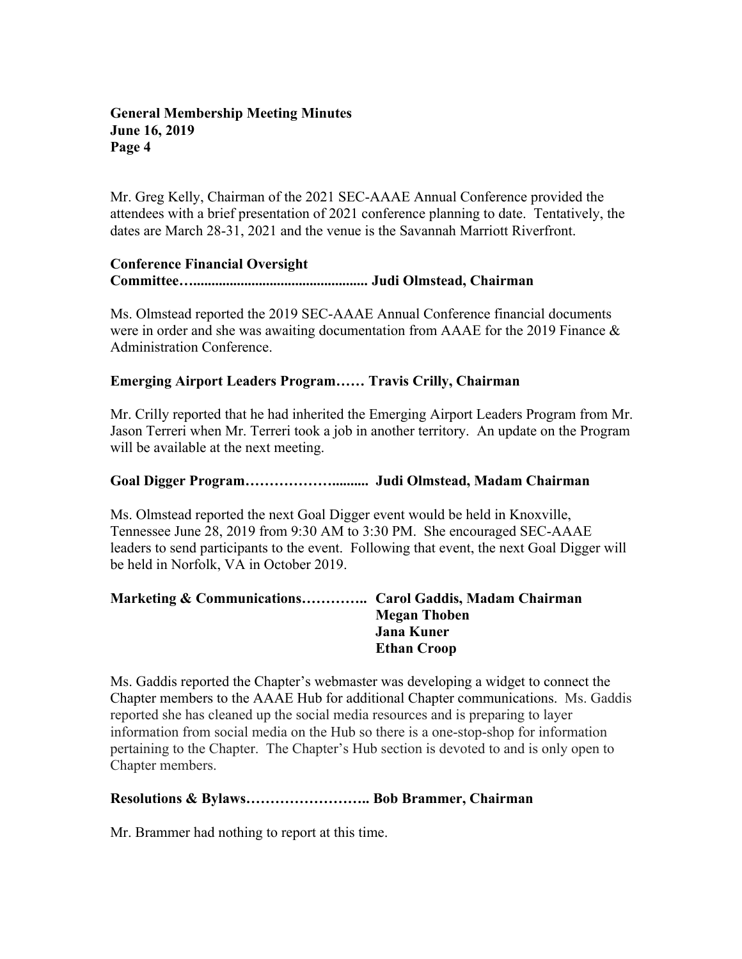Mr. Greg Kelly, Chairman of the 2021 SEC-AAAE Annual Conference provided the attendees with a brief presentation of 2021 conference planning to date. Tentatively, the dates are March 28-31, 2021 and the venue is the Savannah Marriott Riverfront.

### **Conference Financial Oversight**

**Committee…................................................ Judi Olmstead, Chairman**

Ms. Olmstead reported the 2019 SEC-AAAE Annual Conference financial documents were in order and she was awaiting documentation from AAAE for the 2019 Finance & Administration Conference.

### **Emerging Airport Leaders Program…… Travis Crilly, Chairman**

Mr. Crilly reported that he had inherited the Emerging Airport Leaders Program from Mr. Jason Terreri when Mr. Terreri took a job in another territory. An update on the Program will be available at the next meeting.

### **Goal Digger Program……………….......... Judi Olmstead, Madam Chairman**

Ms. Olmstead reported the next Goal Digger event would be held in Knoxville, Tennessee June 28, 2019 from 9:30 AM to 3:30 PM. She encouraged SEC-AAAE leaders to send participants to the event. Following that event, the next Goal Digger will be held in Norfolk, VA in October 2019.

### **Marketing & Communications………….. Carol Gaddis, Madam Chairman Megan Thoben Jana Kuner Ethan Croop**

Ms. Gaddis reported the Chapter's webmaster was developing a widget to connect the Chapter members to the AAAE Hub for additional Chapter communications. Ms. Gaddis reported she has cleaned up the social media resources and is preparing to layer information from social media on the Hub so there is a one-stop-shop for information pertaining to the Chapter. The Chapter's Hub section is devoted to and is only open to Chapter members.

#### **Resolutions & Bylaws…………………….. Bob Brammer, Chairman**

Mr. Brammer had nothing to report at this time.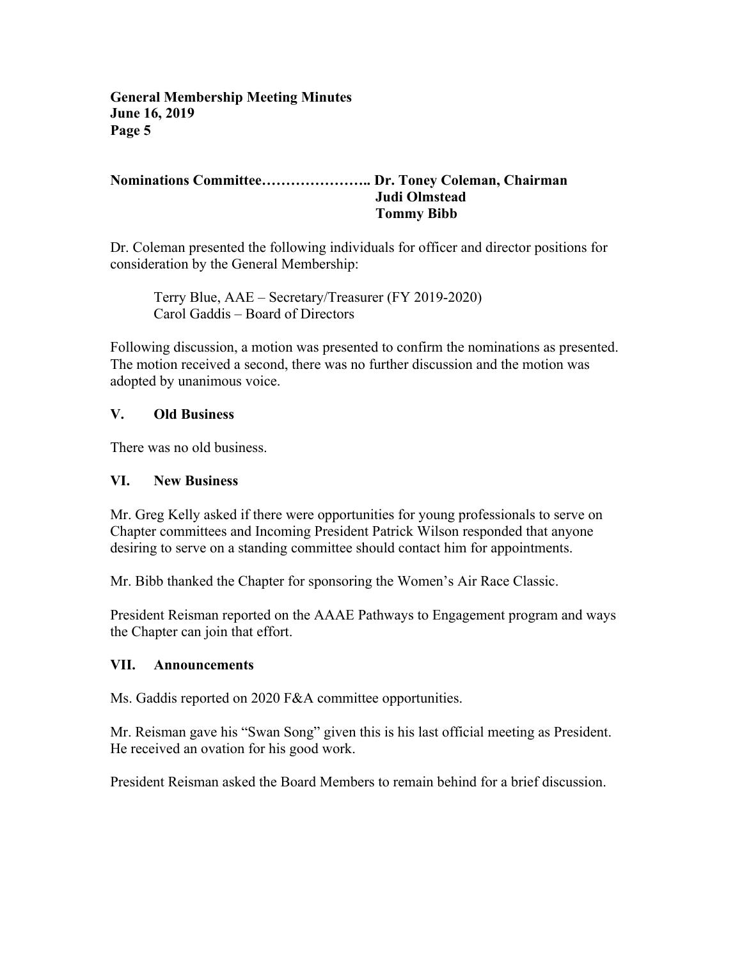### **Nominations Committee………………….. Dr. Toney Coleman, Chairman Judi Olmstead Tommy Bibb**

Dr. Coleman presented the following individuals for officer and director positions for consideration by the General Membership:

Terry Blue, AAE – Secretary/Treasurer (FY 2019-2020) Carol Gaddis – Board of Directors

Following discussion, a motion was presented to confirm the nominations as presented. The motion received a second, there was no further discussion and the motion was adopted by unanimous voice.

#### **V. Old Business**

There was no old business.

#### **VI. New Business**

Mr. Greg Kelly asked if there were opportunities for young professionals to serve on Chapter committees and Incoming President Patrick Wilson responded that anyone desiring to serve on a standing committee should contact him for appointments.

Mr. Bibb thanked the Chapter for sponsoring the Women's Air Race Classic.

President Reisman reported on the AAAE Pathways to Engagement program and ways the Chapter can join that effort.

#### **VII. Announcements**

Ms. Gaddis reported on 2020 F&A committee opportunities.

Mr. Reisman gave his "Swan Song" given this is his last official meeting as President. He received an ovation for his good work.

President Reisman asked the Board Members to remain behind for a brief discussion.